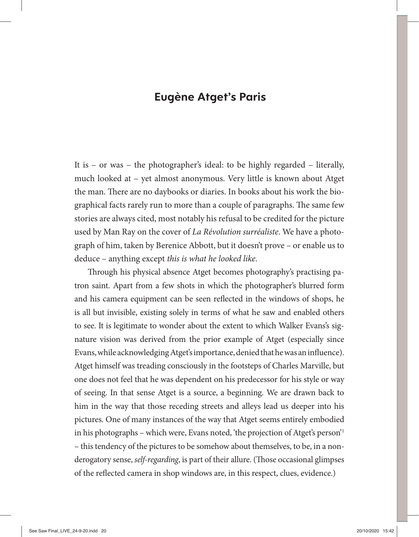## Eugène Atget's Paris

It is – or was – the photographer's ideal: to be highly regarded – literally, much looked at – yet almost anonymous. Very little is known about Atget the man. There are no daybooks or diaries. In books about his work the biographical facts rarely run to more than a couple of paragraphs. The same few stories are always cited, most notably his refusal to be credited for the picture used by Man Ray on the cover of La Révolution surréaliste. We have a photograph of him, taken by Berenice Abbott, but it doesn't prove – or enable us to deduce – anything except this is what he looked like.

Through his physical absence Atget becomes photography's practising patron saint. Apart from a few shots in which the photographer's blurred form and his camera equipment can be seen reflected in the windows of shops, he is all but invisible, existing solely in terms of what he saw and enabled others to see. It is legitimate to wonder about the extent to which Walker Evans's signature vision was derived from the prior example of Atget (especially since Evans, while acknowledging Atget's importance, denied that he was an influence). Atget himself was treading consciously in the footsteps of Charles Marville, but one does not feel that he was dependent on his predecessor for his style or way of seeing. In that sense Atget is a source, a beginning. We are drawn back to him in the way that those receding streets and alleys lead us deeper into his pictures. One of many instances of the way that Atget seems entirely embodied in his photographs – which were, Evans noted, 'the projection of Atget's person'1 – this tendency of the pictures to be somehow about themselves, to be, in a nonderogatory sense, self-regarding, is part of their allure. (Those occasional glimpses of the reflected camera in shop windows are, in this respect, clues, evidence.)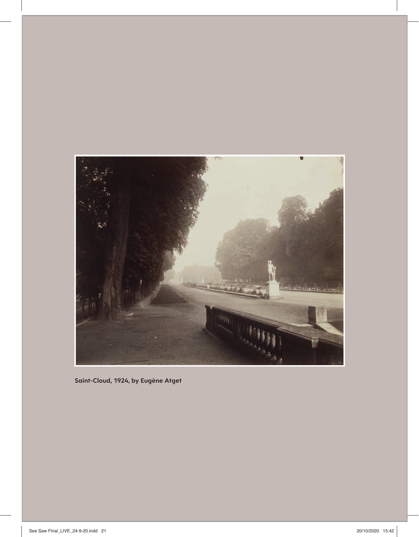

Saint-Cloud, 1924, by Eugène Atget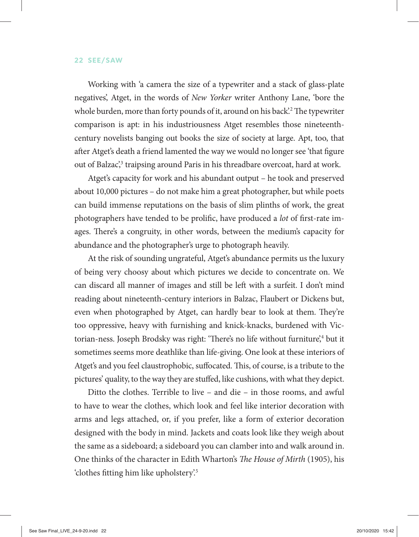## 22 SEE/SAW

Working with 'a camera the size of a typewriter and a stack of glass-plate negatives', Atget, in the words of New Yorker writer Anthony Lane, 'bore the whole burden, more than forty pounds of it, around on his back.<sup>2</sup> The typewriter comparison is apt: in his industriousness Atget resembles those nineteenthcentury novelists banging out books the size of society at large. Apt, too, that after Atget's death a friend lamented the way we would no longer see 'that figure out of Balzac',<sup>3</sup> traipsing around Paris in his threadbare overcoat, hard at work.

Atget's capacity for work and his abundant output – he took and preserved about 10,000 pictures – do not make him a great photographer, but while poets can build immense reputations on the basis of slim plinths of work, the great photographers have tended to be prolific, have produced a lot of first-rate images. There's a congruity, in other words, between the medium's capacity for abundance and the photographer's urge to photograph heavily.

At the risk of sounding ungrateful, Atget's abundance permits us the luxury of being very choosy about which pictures we decide to concentrate on. We can discard all manner of images and still be left with a surfeit. I don't mind reading about nineteenth-century interiors in Balzac, Flaubert or Dickens but, even when photographed by Atget, can hardly bear to look at them. They're too oppressive, heavy with furnishing and knick-knacks, burdened with Victorian-ness. Joseph Brodsky was right: 'There's no life without furniture',4 but it sometimes seems more deathlike than life-giving. One look at these interiors of Atget's and you feel claustrophobic, suffocated. This, of course, is a tribute to the pictures' quality, to the way they are stuffed, like cushions, with what they depict.

Ditto the clothes. Terrible to live – and die – in those rooms, and awful to have to wear the clothes, which look and feel like interior decoration with arms and legs attached, or, if you prefer, like a form of exterior decoration designed with the body in mind. Jackets and coats look like they weigh about the same as a sideboard; a sideboard you can clamber into and walk around in. One thinks of the character in Edith Wharton's The House of Mirth (1905), his 'clothes fitting him like upholstery'.<sup>5</sup>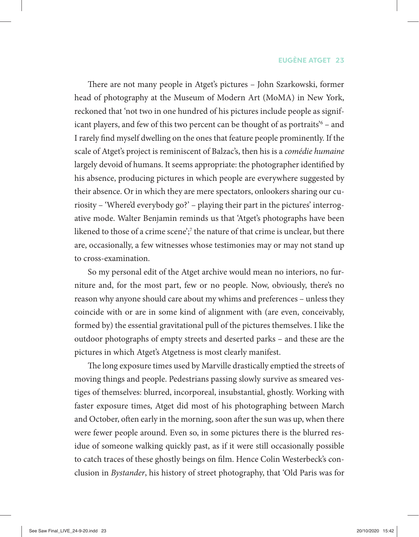There are not many people in Atget's pictures - John Szarkowski, former head of photography at the Museum of Modern Art (MoMA) in New York, reckoned that 'not two in one hundred of his pictures include people as significant players, and few of this two percent can be thought of as portraits<sup>26</sup> - and I rarely find myself dwelling on the ones that feature people prominently. If the scale of Atget's project is reminiscent of Balzac's, then his is a comédie humaine largely devoid of humans. It seems appropriate: the photographer identified by his absence, producing pictures in which people are everywhere suggested by their absence. Or in which they are mere spectators, onlookers sharing our curiosity – 'Where'd everybody go?' – playing their part in the pictures' interrogative mode. Walter Benjamin reminds us that 'Atget's photographs have been likened to those of a crime scene'; $^7$  the nature of that crime is unclear, but there are, occasionally, a few witnesses whose testimonies may or may not stand up to cross-examination.

So my personal edit of the Atget archive would mean no interiors, no furniture and, for the most part, few or no people. Now, obviously, there's no reason why anyone should care about my whims and preferences – unless they coincide with or are in some kind of alignment with (are even, conceivably, formed by) the essential gravitational pull of the pictures themselves. I like the outdoor photographs of empty streets and deserted parks – and these are the pictures in which Atget's Atgetness is most clearly manifest.

The long exposure times used by Marville drastically emptied the streets of moving things and people. Pedestrians passing slowly survive as smeared vestiges of themselves: blurred, incorporeal, insubstantial, ghostly. Working with faster exposure times, Atget did most of his photographing between March and October, often early in the morning, soon after the sun was up, when there were fewer people around. Even so, in some pictures there is the blurred residue of someone walking quickly past, as if it were still occasionally possible to catch traces of these ghostly beings on film. Hence Colin Westerbeck's conclusion in Bystander, his history of street photography, that 'Old Paris was for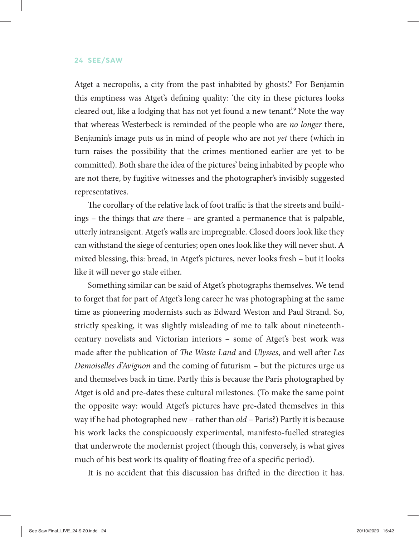## 24 SEE/SAW

Atget a necropolis, a city from the past inhabited by ghosts'.<sup>8</sup> For Benjamin this emptiness was Atget's defining quality: 'the city in these pictures looks cleared out, like a lodging that has not yet found a new tenant.<sup>9</sup> Note the way that whereas Westerbeck is reminded of the people who are no longer there, Benjamin's image puts us in mind of people who are not yet there (which in turn raises the possibility that the crimes mentioned earlier are yet to be committed). Both share the idea of the pictures' being inhabited by people who are not there, by fugitive witnesses and the photographer's invisibly suggested representatives.

The corollary of the relative lack of foot traffic is that the streets and buildings – the things that are there – are granted a permanence that is palpable, utterly intransigent. Atget's walls are impregnable. Closed doors look like they can withstand the siege of centuries; open ones look like they will never shut. A mixed blessing, this: bread, in Atget's pictures, never looks fresh – but it looks like it will never go stale either.

Something similar can be said of Atget's photographs themselves. We tend to forget that for part of Atget's long career he was photographing at the same time as pioneering modernists such as Edward Weston and Paul Strand. So, strictly speaking, it was slightly misleading of me to talk about nineteenthcentury novelists and Victorian interiors – some of Atget's best work was made after the publication of The Waste Land and Ulysses, and well after Les Demoiselles d'Avignon and the coming of futurism – but the pictures urge us and themselves back in time. Partly this is because the Paris photographed by Atget is old and pre-dates these cultural milestones. (To make the same point the opposite way: would Atget's pictures have pre-dated themselves in this way if he had photographed new – rather than old – Paris?) Partly it is because his work lacks the conspicuously experimental, manifesto-fuelled strategies that underwrote the modernist project (though this, conversely, is what gives much of his best work its quality of floating free of a specific period).

It is no accident that this discussion has drifted in the direction it has.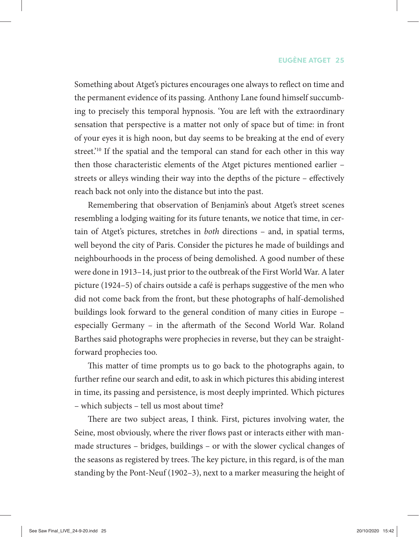Something about Atget's pictures encourages one always to reflect on time and the permanent evidence of its passing. Anthony Lane found himself succumbing to precisely this temporal hypnosis. 'You are left with the extraordinary sensation that perspective is a matter not only of space but of time: in front of your eyes it is high noon, but day seems to be breaking at the end of every street.'<sup>10</sup> If the spatial and the temporal can stand for each other in this way then those characteristic elements of the Atget pictures mentioned earlier – streets or alleys winding their way into the depths of the picture - effectively reach back not only into the distance but into the past.

Remembering that observation of Benjamin's about Atget's street scenes resembling a lodging waiting for its future tenants, we notice that time, in certain of Atget's pictures, stretches in both directions – and, in spatial terms, well beyond the city of Paris. Consider the pictures he made of buildings and neighbourhoods in the process of being demolished. A good number of these were done in 1913–14, just prior to the outbreak of the First World War. A later picture (1924–5) of chairs outside a café is perhaps suggestive of the men who did not come back from the front, but these photographs of half-demolished buildings look forward to the general condition of many cities in Europe – especially Germany - in the aftermath of the Second World War. Roland Barthes said photographs were prophecies in reverse, but they can be straightforward prophecies too.

This matter of time prompts us to go back to the photographs again, to further refine our search and edit, to ask in which pictures this abiding interest in time, its passing and persistence, is most deeply imprinted. Which pictures – which subjects – tell us most about time?

There are two subject areas, I think. First, pictures involving water, the Seine, most obviously, where the river flows past or interacts either with manmade structures – bridges, buildings – or with the slower cyclical changes of the seasons as registered by trees. The key picture, in this regard, is of the man standing by the Pont-Neuf (1902–3), next to a marker measuring the height of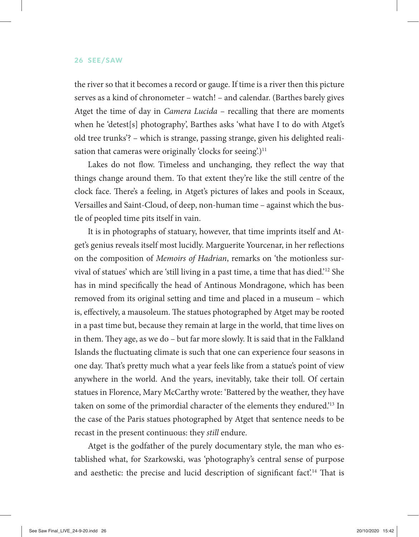## 26 SEE/SAW

the river so that it becomes a record or gauge. If time is a river then this picture serves as a kind of chronometer – watch! – and calendar. (Barthes barely gives Atget the time of day in Camera Lucida – recalling that there are moments when he 'detest[s] photography', Barthes asks 'what have I to do with Atget's old tree trunks'? – which is strange, passing strange, given his delighted realisation that cameras were originally 'clocks for seeing'.) $11$ 

Lakes do not flow. Timeless and unchanging, they reflect the way that things change around them. To that extent they're like the still centre of the clock face. There's a feeling, in Atget's pictures of lakes and pools in Sceaux, Versailles and Saint-Cloud, of deep, non-human time – against which the bustle of peopled time pits itself in vain.

It is in photographs of statuary, however, that time imprints itself and Atget's genius reveals itself most lucidly. Marguerite Yourcenar, in her reflections on the composition of Memoirs of Hadrian, remarks on 'the motionless survival of statues' which are 'still living in a past time, a time that has died.'12 She has in mind specifically the head of Antinous Mondragone, which has been removed from its original setting and time and placed in a museum – which is, effectively, a mausoleum. The statues photographed by Atget may be rooted in a past time but, because they remain at large in the world, that time lives on in them. They age, as we do - but far more slowly. It is said that in the Falkland Islands the fluctuating climate is such that one can experience four seasons in one day. That's pretty much what a year feels like from a statue's point of view anywhere in the world. And the years, inevitably, take their toll. Of certain statues in Florence, Mary McCarthy wrote: 'Battered by the weather, they have taken on some of the primordial character of the elements they endured.'13 In the case of the Paris statues photographed by Atget that sentence needs to be recast in the present continuous: they still endure.

Atget is the godfather of the purely documentary style, the man who established what, for Szarkowski, was 'photography's central sense of purpose and aesthetic: the precise and lucid description of significant fact.<sup>14</sup> That is